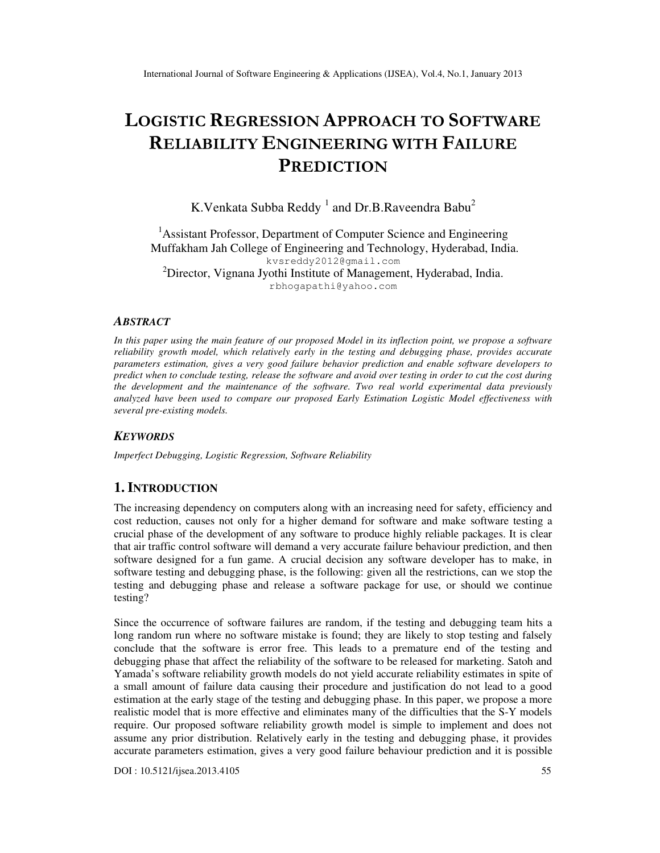# LOGISTIC REGRESSION APPROACH TO SOFTWARE RELIABILITY ENGINEERING WITH FAILURE PREDICTION

K.Venkata Subba Reddy  $^1$  and Dr.B.Raveendra Babu $^2$ 

<sup>1</sup> Assistant Professor, Department of Computer Science and Engineering Muffakham Jah College of Engineering and Technology, Hyderabad, India. kvsreddy2012@gmail.com <sup>2</sup>Director, Vignana Jyothi Institute of Management, Hyderabad, India. rbhogapathi@yahoo.com

#### *ABSTRACT*

*In this paper using the main feature of our proposed Model in its inflection point, we propose a software reliability growth model, which relatively early in the testing and debugging phase, provides accurate parameters estimation, gives a very good failure behavior prediction and enable software developers to predict when to conclude testing, release the software and avoid over testing in order to cut the cost during the development and the maintenance of the software. Two real world experimental data previously analyzed have been used to compare our proposed Early Estimation Logistic Model effectiveness with several pre-existing models.* 

#### *KEYWORDS*

*Imperfect Debugging, Logistic Regression, Software Reliability* 

## **1. INTRODUCTION**

The increasing dependency on computers along with an increasing need for safety, efficiency and cost reduction, causes not only for a higher demand for software and make software testing a crucial phase of the development of any software to produce highly reliable packages. It is clear that air traffic control software will demand a very accurate failure behaviour prediction, and then software designed for a fun game. A crucial decision any software developer has to make, in software testing and debugging phase, is the following: given all the restrictions, can we stop the testing and debugging phase and release a software package for use, or should we continue testing?

Since the occurrence of software failures are random, if the testing and debugging team hits a long random run where no software mistake is found; they are likely to stop testing and falsely conclude that the software is error free. This leads to a premature end of the testing and debugging phase that affect the reliability of the software to be released for marketing. Satoh and Yamada's software reliability growth models do not yield accurate reliability estimates in spite of a small amount of failure data causing their procedure and justification do not lead to a good estimation at the early stage of the testing and debugging phase. In this paper, we propose a more realistic model that is more effective and eliminates many of the difficulties that the S-Y models require. Our proposed software reliability growth model is simple to implement and does not assume any prior distribution. Relatively early in the testing and debugging phase, it provides accurate parameters estimation, gives a very good failure behaviour prediction and it is possible

DOI : 10.5121/ijsea.2013.4105 55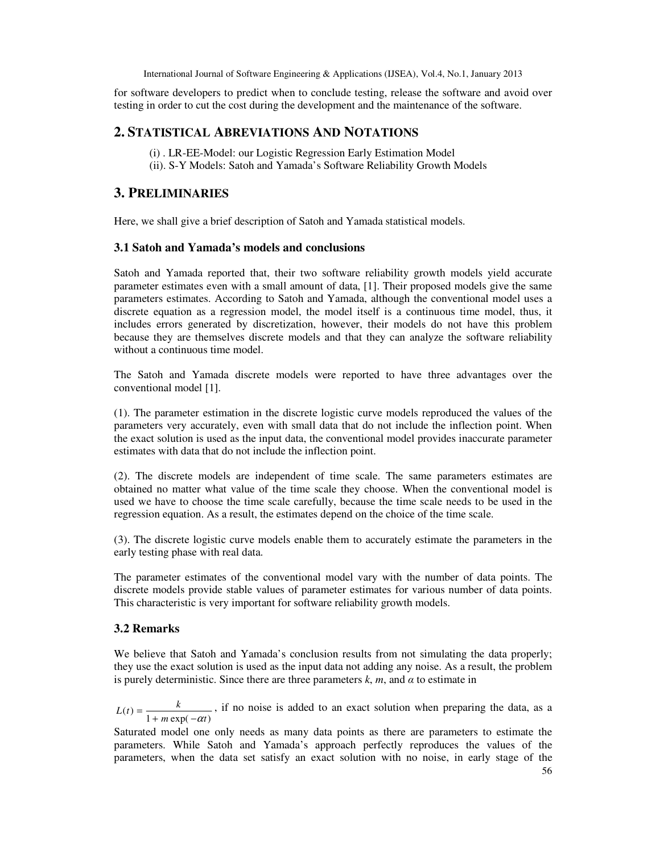for software developers to predict when to conclude testing, release the software and avoid over testing in order to cut the cost during the development and the maintenance of the software.

## **2. STATISTICAL ABREVIATIONS AND NOTATIONS**

- (i) . LR-EE-Model: our Logistic Regression Early Estimation Model
- (ii). S-Y Models: Satoh and Yamada's Software Reliability Growth Models

## **3. PRELIMINARIES**

Here, we shall give a brief description of Satoh and Yamada statistical models.

## **3.1 Satoh and Yamada's models and conclusions**

Satoh and Yamada reported that, their two software reliability growth models yield accurate parameter estimates even with a small amount of data, [1]. Their proposed models give the same parameters estimates. According to Satoh and Yamada, although the conventional model uses a discrete equation as a regression model, the model itself is a continuous time model, thus, it includes errors generated by discretization, however, their models do not have this problem because they are themselves discrete models and that they can analyze the software reliability without a continuous time model.

The Satoh and Yamada discrete models were reported to have three advantages over the conventional model [1].

(1). The parameter estimation in the discrete logistic curve models reproduced the values of the parameters very accurately, even with small data that do not include the inflection point. When the exact solution is used as the input data, the conventional model provides inaccurate parameter estimates with data that do not include the inflection point.

(2). The discrete models are independent of time scale. The same parameters estimates are obtained no matter what value of the time scale they choose. When the conventional model is used we have to choose the time scale carefully, because the time scale needs to be used in the regression equation. As a result, the estimates depend on the choice of the time scale.

(3). The discrete logistic curve models enable them to accurately estimate the parameters in the early testing phase with real data.

The parameter estimates of the conventional model vary with the number of data points. The discrete models provide stable values of parameter estimates for various number of data points. This characteristic is very important for software reliability growth models.

## **3.2 Remarks**

We believe that Satoh and Yamada's conclusion results from not simulating the data properly; they use the exact solution is used as the input data not adding any noise. As a result, the problem is purely deterministic. Since there are three parameters  $k$ ,  $m$ , and  $\alpha$  to estimate in

 $(t) = \frac{\kappa}{1 + m \exp(-\alpha t)}$  $L(t) = \frac{k}{1 + m \exp(-\alpha t)}$ , if no noise is added to an exact solution when preparing the data, as a

Saturated model one only needs as many data points as there are parameters to estimate the parameters. While Satoh and Yamada's approach perfectly reproduces the values of the parameters, when the data set satisfy an exact solution with no noise, in early stage of the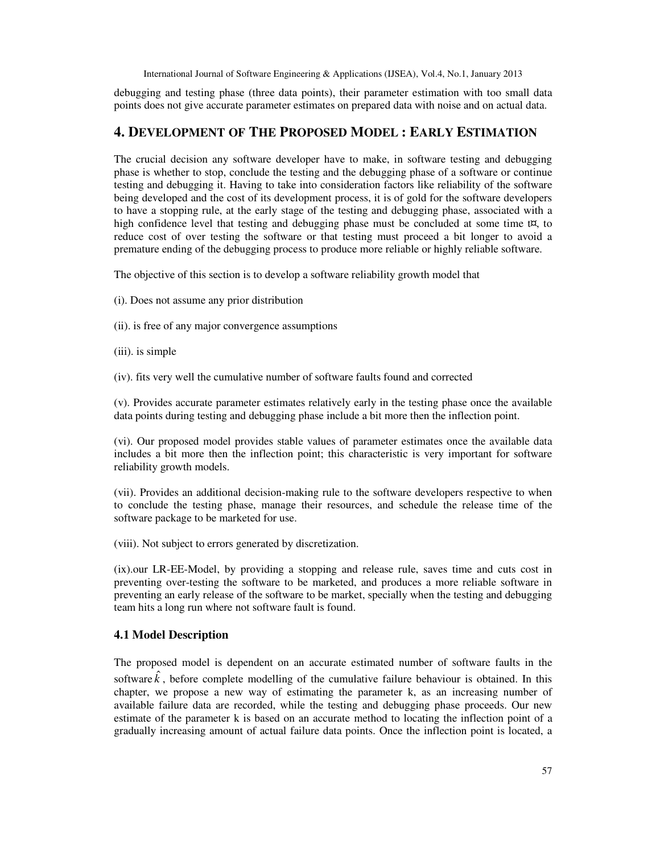debugging and testing phase (three data points), their parameter estimation with too small data points does not give accurate parameter estimates on prepared data with noise and on actual data.

## **4. DEVELOPMENT OF THE PROPOSED MODEL : EARLY ESTIMATION**

The crucial decision any software developer have to make, in software testing and debugging phase is whether to stop, conclude the testing and the debugging phase of a software or continue testing and debugging it. Having to take into consideration factors like reliability of the software being developed and the cost of its development process, it is of gold for the software developers to have a stopping rule, at the early stage of the testing and debugging phase, associated with a high confidence level that testing and debugging phase must be concluded at some time  $t\alpha$ , to reduce cost of over testing the software or that testing must proceed a bit longer to avoid a premature ending of the debugging process to produce more reliable or highly reliable software.

The objective of this section is to develop a software reliability growth model that

- (i). Does not assume any prior distribution
- (ii). is free of any major convergence assumptions
- (iii). is simple
- (iv). fits very well the cumulative number of software faults found and corrected

(v). Provides accurate parameter estimates relatively early in the testing phase once the available data points during testing and debugging phase include a bit more then the inflection point.

(vi). Our proposed model provides stable values of parameter estimates once the available data includes a bit more then the inflection point; this characteristic is very important for software reliability growth models.

(vii). Provides an additional decision-making rule to the software developers respective to when to conclude the testing phase, manage their resources, and schedule the release time of the software package to be marketed for use.

(viii). Not subject to errors generated by discretization.

(ix).our LR-EE-Model, by providing a stopping and release rule, saves time and cuts cost in preventing over-testing the software to be marketed, and produces a more reliable software in preventing an early release of the software to be market, specially when the testing and debugging team hits a long run where not software fault is found.

## **4.1 Model Description**

The proposed model is dependent on an accurate estimated number of software faults in the software  $\hat{k}$ , before complete modelling of the cumulative failure behaviour is obtained. In this chapter, we propose a new way of estimating the parameter k, as an increasing number of available failure data are recorded, while the testing and debugging phase proceeds. Our new estimate of the parameter k is based on an accurate method to locating the inflection point of a gradually increasing amount of actual failure data points. Once the inflection point is located, a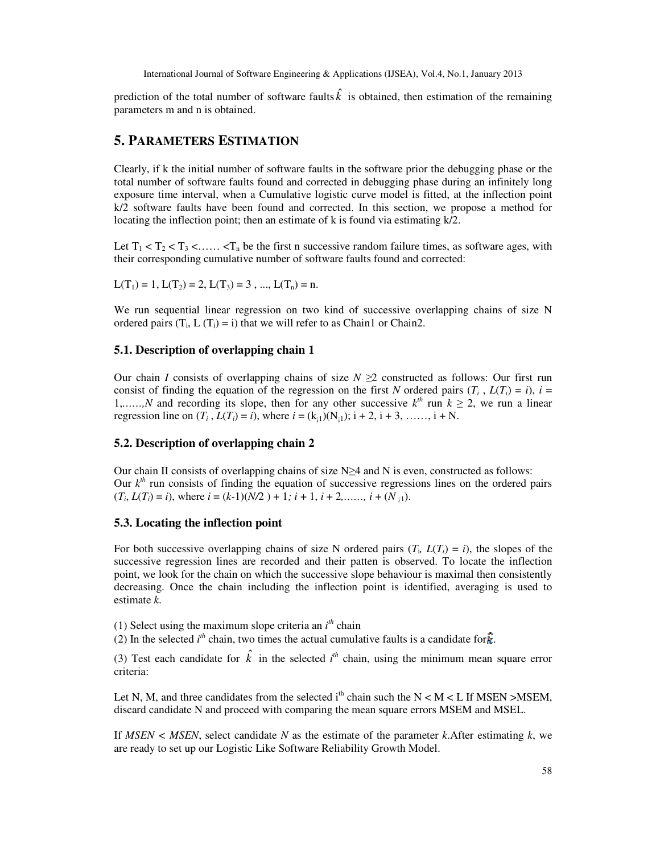prediction of the total number of software faults  $\hat{k}$  is obtained, then estimation of the remaining parameters m and n is obtained.

## **5. PARAMETERS ESTIMATION**

Clearly, if k the initial number of software faults in the software prior the debugging phase or the total number of software faults found and corrected in debugging phase during an infinitely long exposure time interval, when a Cumulative logistic curve model is fitted, at the inflection point k/2 software faults have been found and corrected. In this section, we propose a method for locating the inflection point; then an estimate of k is found via estimating  $k/2$ .

Let  $T_1 < T_2 < T_3 < \ldots < T_n$  be the first n successive random failure times, as software ages, with their corresponding cumulative number of software faults found and corrected:

$$
L(T_1) = 1, L(T_2) = 2, L(T_3) = 3, ..., L(T_n) = n.
$$

We run sequential linear regression on two kind of successive overlapping chains of size N ordered pairs  $(T_i, L(T_i) = i)$  that we will refer to as Chain1 or Chain2.

### **5.1. Description of overlapping chain 1**

Our chain *I* consists of overlapping chains of size  $N \geq 2$  constructed as follows: Our first run consist of finding the equation of the regression on the first *N* ordered pairs  $(T_i, L(T_i) = i)$ ,  $i =$ 1,.....,*N* and recording its slope, then for any other successive  $k^{th}$  run  $k \ge 2$ , we run a linear regression line on  $(T_i, L(T_i) = i)$ , where  $i = (k_{i1}) (N_{i1}); i + 2, i + 3, \ldots, i + N$ .

### **5.2. Description of overlapping chain 2**

Our chain II consists of overlapping chains of size  $N \geq 4$  and N is even, constructed as follows: Our  $k<sup>th</sup>$  run consists of finding the equation of successive regressions lines on the ordered pairs  $(T_i, L(T_i) = i)$ , where  $i = (k-1)(N/2) + 1$ ;  $i + 1$ ,  $i + 2, \dots, i + (N_i)$ .

### **5.3. Locating the inflection point**

For both successive overlapping chains of size N ordered pairs  $(T_i, L(T_i) = i)$ , the slopes of the successive regression lines are recorded and their patten is observed. To locate the inflection point, we look for the chain on which the successive slope behaviour is maximal then consistently decreasing. Once the chain including the inflection point is identified, averaging is used to estimate *k*.

(1) Select using the maximum slope criteria an  $i<sup>th</sup>$  chain

(2) In the selected  $i^{th}$  chain, two times the actual cumulative faults is a candidate for  $\hat{k}$ .

(3) Test each candidate for  $\hat{k}$  in the selected  $i<sup>th</sup>$  chain, using the minimum mean square error criteria:

Let N, M, and three candidates from the selected  $i<sup>th</sup>$  chain such the N < M < L If MSEN >MSEM, discard candidate N and proceed with comparing the mean square errors MSEM and MSEL.

If *MSEN < MSEN*, select candidate *N* as the estimate of the parameter *k*.After estimating *k*, we are ready to set up our Logistic Like Software Reliability Growth Model.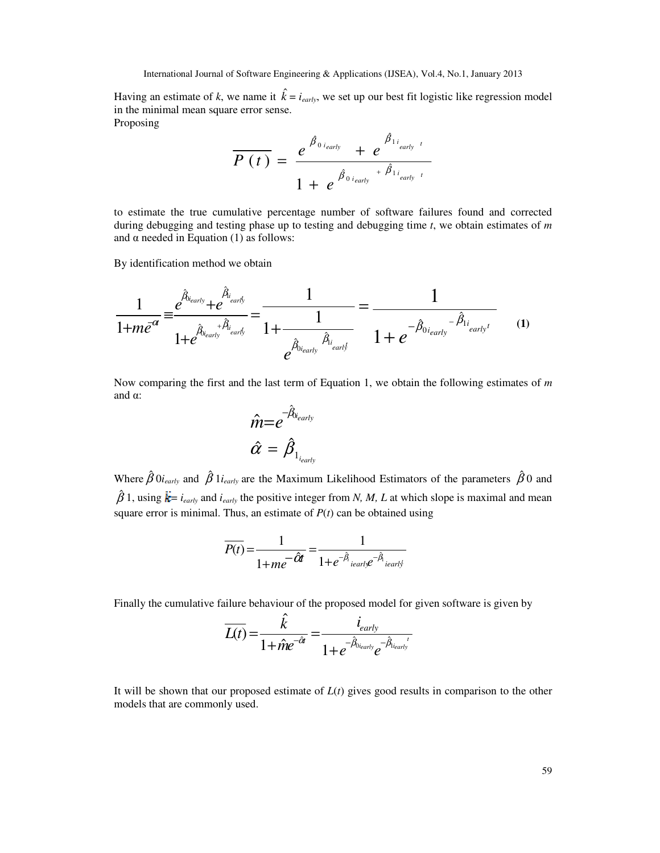Having an estimate of *k*, we name it  $\hat{k} = i_{early}$ , we set up our best fit logistic like regression model in the minimal mean square error sense. Proposing

$$
\overline{P(t)} = \frac{e^{\hat{\beta}_{0,i_{early}}} + e^{\hat{\beta}_{1,i_{early}}t}}{1 + e^{\hat{\beta}_{0,i_{early}} + \hat{\beta}_{1,i_{early}}t}}
$$

to estimate the true cumulative percentage number of software failures found and corrected during debugging and testing phase up to testing and debugging time *t*, we obtain estimates of *m*  and  $\alpha$  needed in Equation (1) as follows:

By identification method we obtain

$$
\frac{1}{1+m e^{\alpha}} = \frac{e^{\hat{\beta}_{\text{i}_{early}}} + e^{\hat{\beta}_{\text{i}_{early}}}}{1 + e^{\hat{\beta}_{\text{i}_{early}} + \hat{\beta}_{\text{i}_{early}}}} = \frac{1}{1 + \frac{1}{e^{\hat{\beta}_{\text{i}_{early}}\hat{\beta}_{\text{i}_{early}}}}}} = \frac{1}{1 + e^{-\hat{\beta}_{\text{i}_{early}} - \hat{\beta}_{\text{i}_{early}}}} \qquad (1)
$$

Now comparing the first and the last term of Equation 1, we obtain the following estimates of *m*  and α:

$$
\hat{m}{=}e^{-\hat{\beta}_{b_{early}}}
$$

Where  $\hat{\beta}$  0*i<sub>early</sub>* and  $\hat{\beta}$  1*i<sub>early</sub>* are the Maximum Likelihood Estimators of the parameters  $\hat{\beta}$  0 and  $\hat{\beta}$  1, using  $\hat{k}$  = *i<sub>early</sub>* and *i<sub>early</sub>* the positive integer from *N, M, L* at which slope is maximal and mean square error is minimal. Thus, an estimate of  $P(t)$  can be obtained using

$$
\overline{P(t)} = \frac{1}{1 + me^{-\hat{O}t}} = \frac{1}{1 + e^{-\hat{\beta}_i} \cdot \text{leafly}} e^{-\hat{\beta}_i} \cdot \text{leafly}}
$$

Finally the cumulative failure behaviour of the proposed model for given software is given by

$$
\overline{L(t)} = \frac{\hat{k}}{1 + \hat{m}e^{-\hat{\alpha}t}} = \frac{i_{early}}{1 + e^{-\hat{\beta}_{0_{early}}}e^{-\hat{\beta}_{1_{early}}t}}
$$

It will be shown that our proposed estimate of *L*(*t*) gives good results in comparison to the other models that are commonly used.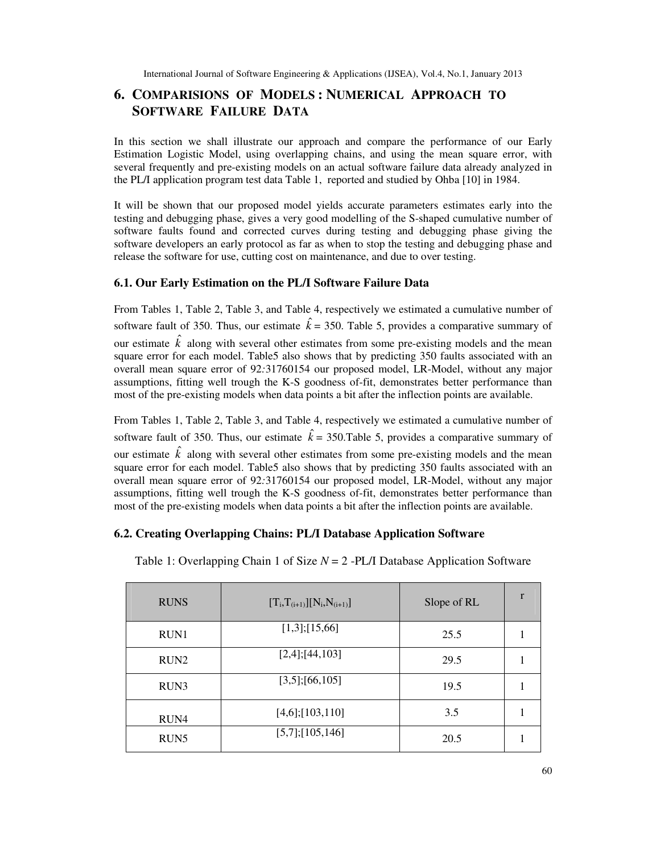## **6. COMPARISIONS OF MODELS : NUMERICAL APPROACH TO SOFTWARE FAILURE DATA**

In this section we shall illustrate our approach and compare the performance of our Early Estimation Logistic Model, using overlapping chains, and using the mean square error, with several frequently and pre-existing models on an actual software failure data already analyzed in the PL/I application program test data Table 1, reported and studied by Ohba [10] in 1984.

It will be shown that our proposed model yields accurate parameters estimates early into the testing and debugging phase, gives a very good modelling of the S-shaped cumulative number of software faults found and corrected curves during testing and debugging phase giving the software developers an early protocol as far as when to stop the testing and debugging phase and release the software for use, cutting cost on maintenance, and due to over testing.

## **6.1. Our Early Estimation on the PL/I Software Failure Data**

From Tables 1, Table 2, Table 3, and Table 4, respectively we estimated a cumulative number of software fault of 350. Thus, our estimate  $\hat{k} = 350$ . Table 5, provides a comparative summary of our estimate  $\hat{k}$  along with several other estimates from some pre-existing models and the mean square error for each model. Table5 also shows that by predicting 350 faults associated with an overall mean square error of 92*:*31760154 our proposed model, LR-Model, without any major assumptions, fitting well trough the K-S goodness of-fit, demonstrates better performance than most of the pre-existing models when data points a bit after the inflection points are available.

From Tables 1, Table 2, Table 3, and Table 4, respectively we estimated a cumulative number of software fault of 350. Thus, our estimate  $\hat{k} = 350$ . Table 5, provides a comparative summary of our estimate  $\hat{k}$  along with several other estimates from some pre-existing models and the mean square error for each model. Table5 also shows that by predicting 350 faults associated with an overall mean square error of 92*:*31760154 our proposed model, LR-Model, without any major assumptions, fitting well trough the K-S goodness of-fit, demonstrates better performance than most of the pre-existing models when data points a bit after the inflection points are available.

## **6.2. Creating Overlapping Chains: PL/I Database Application Software**

| <b>RUNS</b>      | $[T_i, T_{(i+1)}][N_i, N_{(i+1)}]$ | Slope of RL | r |
|------------------|------------------------------------|-------------|---|
| RUN1             | $[1,3]$ ;[15,66]                   | 25.5        |   |
| RUN <sub>2</sub> | $[2,4]$ ; [44, 103]                | 29.5        |   |
| RUN3             | $[3,5]$ ;[66,105]                  | 19.5        |   |
| RUN4             | $[4,6]$ ;[103,110]                 | 3.5         |   |
| RUN <sub>5</sub> | $[5,7]$ ;[105,146]                 | 20.5        |   |

Table 1: Overlapping Chain 1 of Size *N* = 2 -PL/I Database Application Software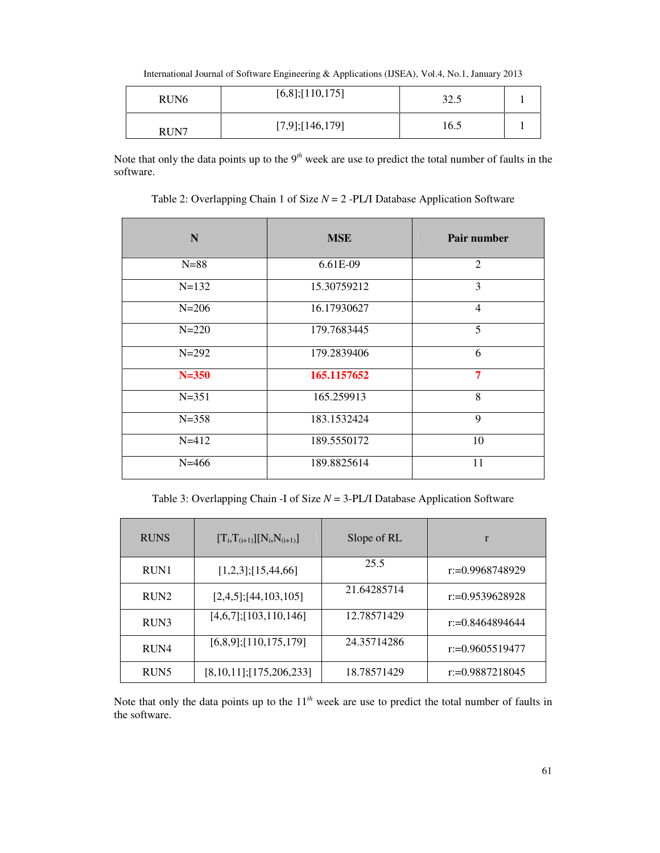International Journal of Software Engineering & Applications (IJSEA), Vol.4, No.1, January 2013

| RUN <sub>6</sub> | $[6,8]$ ;[110,175] | 32.5 |  |
|------------------|--------------------|------|--|
| RUN7             | $[7,9]$ ;[146,179] | 16.5 |  |

Note that only the data points up to the 9*th* week are use to predict the total number of faults in the software.

Table 2: Overlapping Chain 1 of Size *N* = 2 -PL/I Database Application Software

| N         | <b>MSE</b>  | Pair number    |
|-----------|-------------|----------------|
| $N = 88$  | 6.61E-09    | $\overline{2}$ |
| $N=132$   | 15.30759212 | 3              |
| $N = 206$ | 16.17930627 | $\overline{4}$ |
| $N = 220$ | 179.7683445 | 5              |
| $N = 292$ | 179.2839406 | 6              |
| $N = 350$ | 165.1157652 | 7              |
| $N = 351$ | 165.259913  | 8              |
| $N = 358$ | 183.1532424 | 9              |
| $N = 412$ | 189.5550172 | 10             |
| $N = 466$ | 189.8825614 | 11             |

Table 3: Overlapping Chain -I of Size *N* = 3-PL/I Database Application Software

| <b>RUNS</b>      | $[T_i, T_{(i+1)}][N_i, N_{(i+1)}]$ | Slope of RL | r                  |
|------------------|------------------------------------|-------------|--------------------|
| RUN1             | $[1,2,3]$ ;[15,44,66]              | 25.5        | $r = 0.9968748929$ |
| RUN2             | $[2,4,5]$ ; [44, 103, 105]         | 21.64285714 | $r = 0.9539628928$ |
| RUN3             | $[4,6,7]$ ;[103,110,146]           | 12.78571429 | $r = 0.8464894644$ |
| RUN4             | $[6,8,9]$ ;[110,175,179]           | 24.35714286 | $r = 0.9605519477$ |
| RUN <sub>5</sub> | $[8,10,11]$ ; [175, 206, 233]      | 18.78571429 | $r = 0.9887218045$ |

Note that only the data points up to the 11*th* week are use to predict the total number of faults in the software.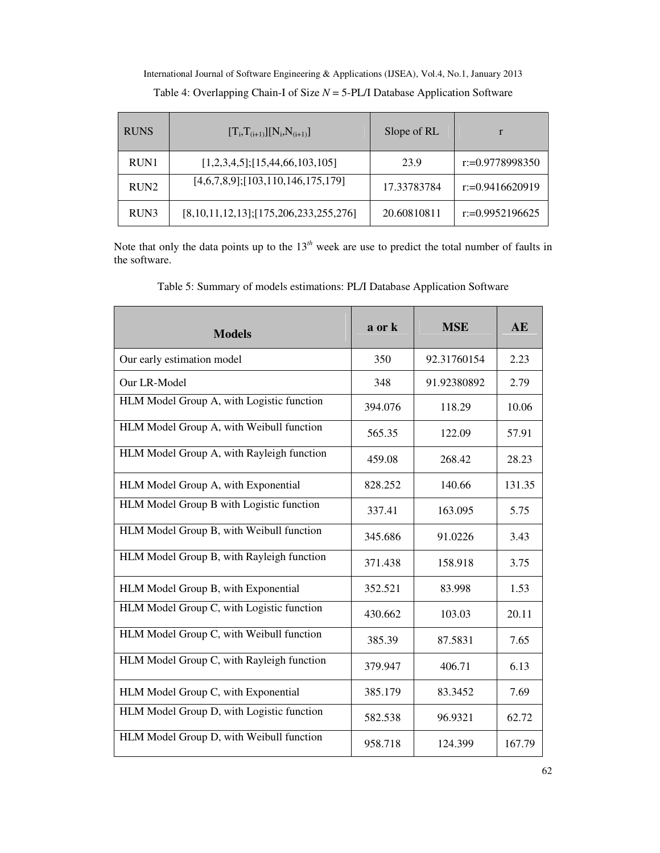| <b>RUNS</b>      | $[T_i, T_{(i+1)}][N_i, N_{(i+1)}]$            | Slope of RL |                    |
|------------------|-----------------------------------------------|-------------|--------------------|
| RUN1             | $[1,2,3,4,5]$ ; [15,44,66,103,105]            | 23.9        | $r = 0.9778998350$ |
| RUN <sub>2</sub> | $[4,6,7,8,9]$ ; [103, 110, 146, 175, 179]     | 17.33783784 | $r = 0.9416620919$ |
| RUN3             | $[8,10,11,12,13]$ ; [175, 206, 233, 255, 276] | 20.60810811 | $r = 0.9952196625$ |

International Journal of Software Engineering & Applications (IJSEA), Vol.4, No.1, January 2013 Table 4: Overlapping Chain-I of Size *N* = 5-PL/I Database Application Software

Note that only the data points up to the 13*th* week are use to predict the total number of faults in the software.

Table 5: Summary of models estimations: PL/I Database Application Software

| <b>Models</b>                             | a or k  | <b>MSE</b>  | <b>AE</b> |
|-------------------------------------------|---------|-------------|-----------|
| Our early estimation model                | 350     | 92.31760154 | 2.23      |
| Our LR-Model                              | 348     | 91.92380892 | 2.79      |
| HLM Model Group A, with Logistic function | 394.076 | 118.29      | 10.06     |
| HLM Model Group A, with Weibull function  | 565.35  | 122.09      | 57.91     |
| HLM Model Group A, with Rayleigh function | 459.08  | 268.42      | 28.23     |
| HLM Model Group A, with Exponential       | 828.252 | 140.66      | 131.35    |
| HLM Model Group B with Logistic function  | 337.41  | 163.095     | 5.75      |
| HLM Model Group B, with Weibull function  | 345.686 | 91.0226     | 3.43      |
| HLM Model Group B, with Rayleigh function | 371.438 | 158.918     | 3.75      |
| HLM Model Group B, with Exponential       | 352.521 | 83.998      | 1.53      |
| HLM Model Group C, with Logistic function | 430.662 | 103.03      | 20.11     |
| HLM Model Group C, with Weibull function  | 385.39  | 87.5831     | 7.65      |
| HLM Model Group C, with Rayleigh function | 379.947 | 406.71      | 6.13      |
| HLM Model Group C, with Exponential       | 385.179 | 83.3452     | 7.69      |
| HLM Model Group D, with Logistic function | 582.538 | 96.9321     | 62.72     |
| HLM Model Group D, with Weibull function  | 958.718 | 124.399     | 167.79    |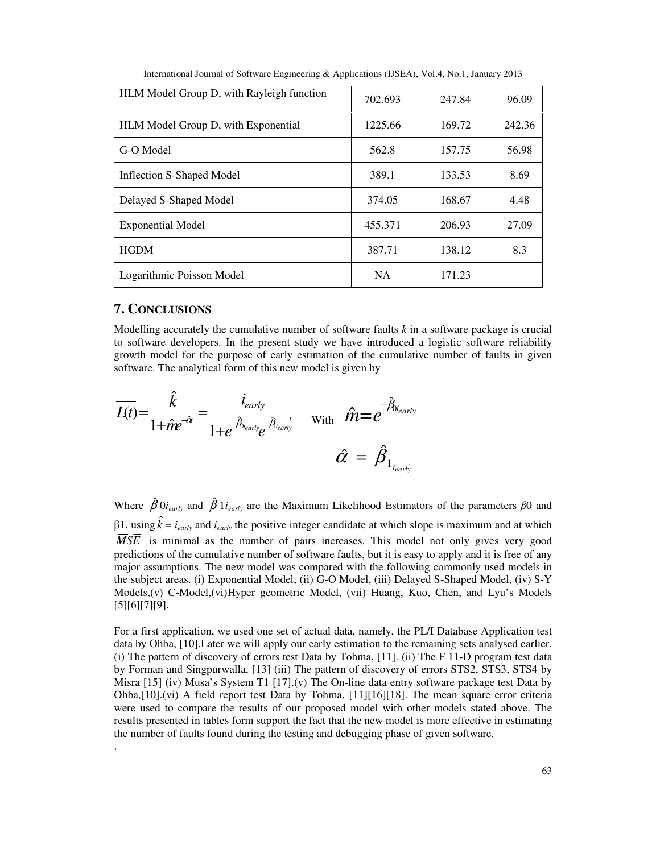| HLM Model Group D, with Rayleigh function | 702.693   | 247.84 | 96.09  |
|-------------------------------------------|-----------|--------|--------|
| HLM Model Group D, with Exponential       | 1225.66   | 169.72 | 242.36 |
| G-O Model                                 | 562.8     | 157.75 | 56.98  |
| Inflection S-Shaped Model                 | 389.1     | 133.53 | 8.69   |
| Delayed S-Shaped Model                    | 374.05    | 168.67 | 4.48   |
| Exponential Model                         | 455.371   | 206.93 | 27.09  |
| <b>HGDM</b>                               | 387.71    | 138.12 | 8.3    |
| Logarithmic Poisson Model                 | <b>NA</b> | 171.23 |        |

International Journal of Software Engineering & Applications (IJSEA), Vol.4, No.1, January 2013

## **7. CONCLUSIONS**

.

Modelling accurately the cumulative number of software faults *k* in a software package is crucial to software developers. In the present study we have introduced a logistic software reliability growth model for the purpose of early estimation of the cumulative number of faults in given software. The analytical form of this new model is given by

$$
\overline{L(t)} = \frac{\hat{k}}{1 + \hat{m}e^{-\hat{\alpha}}} = \frac{i_{early}}{1 + e^{-\hat{\beta}_{\text{learly}}e^{-\hat{\beta}_{\text{learly}}}}}
$$
 with  $\hat{m} = e^{-\hat{\beta}_{\text{learly}}}$   
 $\hat{\alpha} = \hat{\beta}_{1_{\text{learly}}}$ 

Where  $\hat{\beta}$  0*i<sub>early</sub>* and  $\hat{\beta}$  1*i<sub>early</sub>* are the Maximum Likelihood Estimators of the parameters  $\beta$ 0 and  $β1$ , using  $\hat{k} = i_{early}$  and  $i_{early}$  the positive integer candidate at which slope is maximum and at which  $\overline{MSE}$  is minimal as the number of pairs increases. This model not only gives very good predictions of the cumulative number of software faults, but it is easy to apply and it is free of any major assumptions. The new model was compared with the following commonly used models in the subject areas. (i) Exponential Model, (ii) G-O Model, (iii) Delayed S-Shaped Model, (iv) S-Y Models,(v) C-Model,(vi)Hyper geometric Model, (vii) Huang, Kuo, Chen, and Lyu's Models [5][6][7][9].

For a first application, we used one set of actual data, namely, the PL/I Database Application test data by Ohba, [10].Later we will apply our early estimation to the remaining sets analysed earlier. (i) The pattern of discovery of errors test Data by Tohma, [11]. (ii) The F 11-D program test data by Forman and Singpurwalla, [13] (iii) The pattern of discovery of errors STS2, STS3, STS4 by Misra  $[15]$  (iv) Musa's System T1  $[17]$ .(v) The On-line data entry software package test Data by Ohba,[10].(vi) A field report test Data by Tohma, [11][16][18]. The mean square error criteria were used to compare the results of our proposed model with other models stated above. The results presented in tables form support the fact that the new model is more effective in estimating the number of faults found during the testing and debugging phase of given software.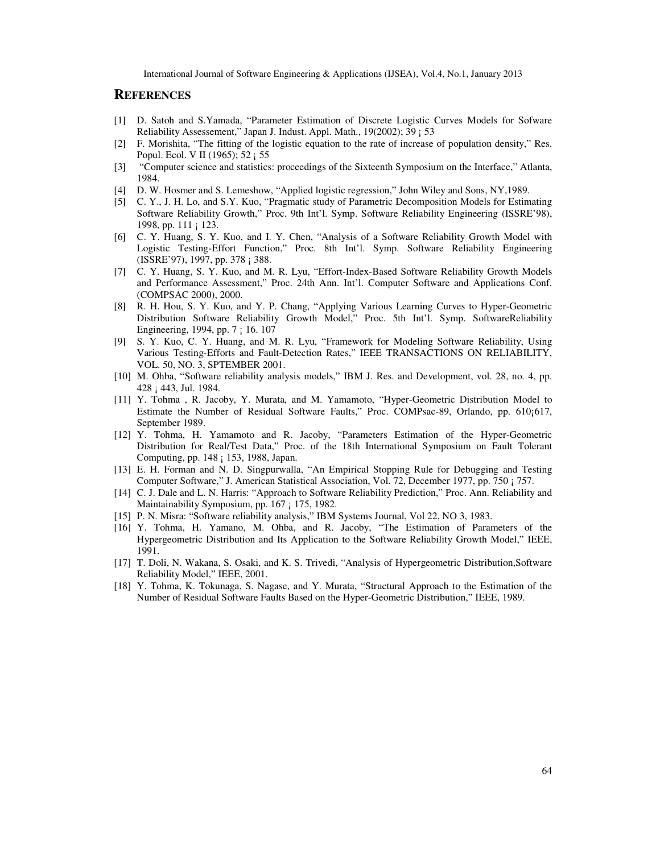## **REFERENCES**

- [1] D. Satoh and S.Yamada, "Parameter Estimation of Discrete Logistic Curves Models for Sofware Reliability Assessement," Japan J. Indust. Appl. Math., 19(2002); 39 ¡ 53
- [2] F. Morishita, "The fitting of the logistic equation to the rate of increase of population density," Res. Popul. Ecol. V II (1965); 52 ¡ 55
- [3] "Computer science and statistics: proceedings of the Sixteenth Symposium on the Interface," Atlanta, 1984.
- [4] D. W. Hosmer and S. Lemeshow, "Applied logistic regression," John Wiley and Sons, NY,1989.
- [5] C. Y., J. H. Lo, and S.Y. Kuo, "Pragmatic study of Parametric Decomposition Models for Estimating Software Reliability Growth," Proc. 9th Int'l. Symp. Software Reliability Engineering (ISSRE'98), 1998, pp. 111 ¡ 123.
- [6] C. Y. Huang, S. Y. Kuo, and I. Y. Chen, "Analysis of a Software Reliability Growth Model with Logistic Testing-Effort Function," Proc. 8th Int'l. Symp. Software Reliability Engineering (ISSRE'97), 1997, pp. 378 ¡ 388.
- [7] C. Y. Huang, S. Y. Kuo, and M. R. Lyu, "Effort-Index-Based Software Reliability Growth Models and Performance Assessment," Proc. 24th Ann. Int'l. Computer Software and Applications Conf. (COMPSAC 2000), 2000.
- [8] R. H. Hou, S. Y. Kuo, and Y. P. Chang, "Applying Various Learning Curves to Hyper-Geometric Distribution Software Reliability Growth Model," Proc. 5th Int'l. Symp. SoftwareReliability Engineering, 1994, pp. 7 ¡ 16. 107
- [9] S. Y. Kuo, C. Y. Huang, and M. R. Lyu, "Framework for Modeling Software Reliability, Using Various Testing-Efforts and Fault-Detection Rates," IEEE TRANSACTIONS ON RELIABILITY, VOL. 50, NO. 3, SPTEMBER 2001.
- [10] M. Ohba, "Software reliability analysis models," IBM J. Res. and Development, vol. 28, no. 4, pp. 428 ¡ 443, Jul. 1984.
- [11] Y. Tohma , R. Jacoby, Y. Murata, and M. Yamamoto, "Hyper-Geometric Distribution Model to Estimate the Number of Residual Software Faults," Proc. COMPsac-89, Orlando, pp. 610¡617, September 1989.
- [12] Y. Tohma, H. Yamamoto and R. Jacoby, "Parameters Estimation of the Hyper-Geometric Distribution for Real/Test Data," Proc. of the 18th International Symposium on Fault Tolerant Computing, pp. 148 ¡ 153, 1988, Japan.
- [13] E. H. Forman and N. D. Singpurwalla, "An Empirical Stopping Rule for Debugging and Testing Computer Software," J. American Statistical Association, Vol. 72, December 1977, pp. 750 ¡ 757.
- [14] C. J. Dale and L. N. Harris: "Approach to Software Reliability Prediction," Proc. Ann. Reliability and Maintainability Symposium, pp. 167 ; 175, 1982.
- [15] P. N. Misra: "Software reliability analysis," IBM Systems Journal, Vol 22, NO 3, 1983.
- [16] Y. Tohma, H. Yamano, M. Ohba, and R. Jacoby, "The Estimation of Parameters of the Hypergeometric Distribution and Its Application to the Software Reliability Growth Model," IEEE, 1991.
- [17] T. Doli, N. Wakana, S. Osaki, and K. S. Trivedi, "Analysis of Hypergeometric Distribution,Software Reliability Model," IEEE, 2001.
- [18] Y. Tohma, K. Tokunaga, S. Nagase, and Y. Murata, "Structural Approach to the Estimation of the Number of Residual Software Faults Based on the Hyper-Geometric Distribution," IEEE, 1989.